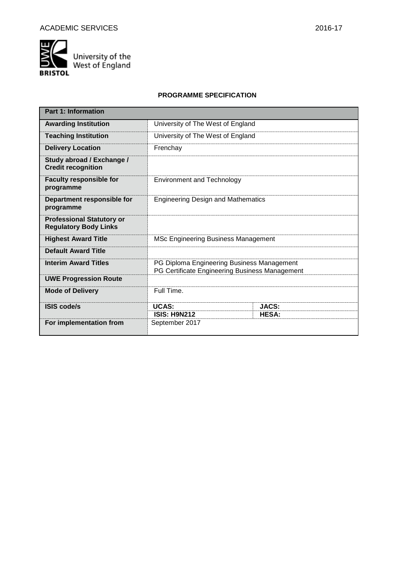

University of the<br>West of England

# **PROGRAMME SPECIFICATION**

| <b>Part 1: Information</b>                                       |                                                                                              |              |  |  |  |
|------------------------------------------------------------------|----------------------------------------------------------------------------------------------|--------------|--|--|--|
| <b>Awarding Institution</b>                                      | University of The West of England                                                            |              |  |  |  |
| <b>Teaching Institution</b>                                      | University of The West of England                                                            |              |  |  |  |
| <b>Delivery Location</b>                                         | Frenchay                                                                                     |              |  |  |  |
| Study abroad / Exchange /<br><b>Credit recognition</b>           |                                                                                              |              |  |  |  |
| <b>Faculty responsible for</b><br>programme                      | <b>Environment and Technology</b>                                                            |              |  |  |  |
| Department responsible for<br>programme                          | <b>Engineering Design and Mathematics</b>                                                    |              |  |  |  |
| <b>Professional Statutory or</b><br><b>Regulatory Body Links</b> |                                                                                              |              |  |  |  |
| <b>Highest Award Title</b>                                       | <b>MSc Engineering Business Management</b>                                                   |              |  |  |  |
| <b>Default Award Title</b>                                       |                                                                                              |              |  |  |  |
| <b>Interim Award Titles</b>                                      | PG Diploma Engineering Business Management<br>PG Certificate Engineering Business Management |              |  |  |  |
| <b>UWE Progression Route</b>                                     |                                                                                              |              |  |  |  |
| <b>Mode of Delivery</b>                                          | Full Time.                                                                                   |              |  |  |  |
| <b>ISIS code/s</b>                                               | <b>UCAS:</b>                                                                                 | JACS:        |  |  |  |
| For implementation from                                          | <b>ISIS: H9N212</b><br>September 2017                                                        | <b>HESA:</b> |  |  |  |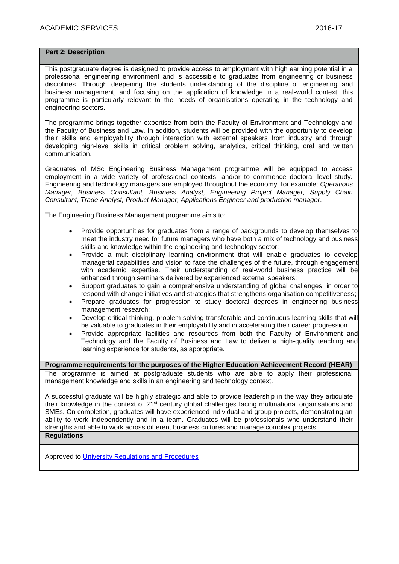## **Part 2: Description**

This postgraduate degree is designed to provide access to employment with high earning potential in a professional engineering environment and is accessible to graduates from engineering or business disciplines. Through deepening the students understanding of the discipline of engineering and business management, and focusing on the application of knowledge in a real-world context, this programme is particularly relevant to the needs of organisations operating in the technology and engineering sectors.

The programme brings together expertise from both the Faculty of Environment and Technology and the Faculty of Business and Law. In addition, students will be provided with the opportunity to develop their skills and employability through interaction with external speakers from industry and through developing high-level skills in critical problem solving, analytics, critical thinking, oral and written communication.

Graduates of MSc Engineering Business Management programme will be equipped to access employment in a wide variety of professional contexts, and/or to commence doctoral level study. Engineering and technology managers are employed throughout the economy, for example; *Operations Manager, Business Consultant, Business Analyst, Engineering Project Manager, Supply Chain Consultant, Trade Analyst, Product Manager, Applications Engineer and production manager.*

The Engineering Business Management programme aims to:

- Provide opportunities for graduates from a range of backgrounds to develop themselves to meet the industry need for future managers who have both a mix of technology and business skills and knowledge within the engineering and technology sector;
- Provide a multi-disciplinary learning environment that will enable graduates to develop managerial capabilities and vision to face the challenges of the future, through engagement with academic expertise. Their understanding of real-world business practice will be enhanced through seminars delivered by experienced external speakers;
- Support graduates to gain a comprehensive understanding of global challenges, in order to respond with change initiatives and strategies that strengthens organisation competitiveness;
- Prepare graduates for progression to study doctoral degrees in engineering business management research;
- Develop critical thinking, problem-solving transferable and continuous learning skills that will be valuable to graduates in their employability and in accelerating their career progression.
- Provide appropriate facilities and resources from both the Faculty of Environment and Technology and the Faculty of Business and Law to deliver a high-quality teaching and learning experience for students, as appropriate.

**Programme requirements for the purposes of the Higher Education Achievement Record (HEAR)** The programme is aimed at postgraduate students who are able to apply their professional management knowledge and skills in an engineering and technology context.

A successful graduate will be highly strategic and able to provide leadership in the way they articulate their knowledge in the context of 21<sup>st</sup> century global challenges facing multinational organisations and SMEs. On completion, graduates will have experienced individual and group projects, demonstrating an ability to work independently and in a team. Graduates will be professionals who understand their strengths and able to work across different business cultures and manage complex projects. **Regulations**

Approved to [University Regulations and Procedures](http://www1.uwe.ac.uk/students/academicadvice/assessments/regulationsandprocedures.aspx)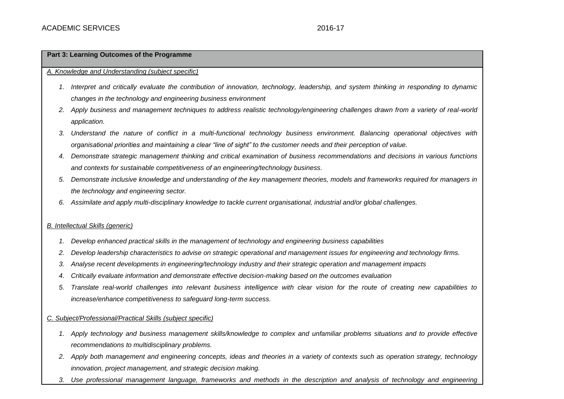## **Part 3: Learning Outcomes of the Programme**

### *A. Knowledge and Understanding (subject specific)*

- *1. Interpret and critically evaluate the contribution of innovation, technology, leadership, and system thinking in responding to dynamic changes in the technology and engineering business environment*
- *2. Apply business and management techniques to address realistic technology/engineering challenges drawn from a variety of real-world application.*
- *3. Understand the nature of conflict in a multi-functional technology business environment. Balancing operational objectives with organisational priorities and maintaining a clear "line of sight" to the customer needs and their perception of value.*
- *4. Demonstrate strategic management thinking and critical examination of business recommendations and decisions in various functions and contexts for sustainable competitiveness of an engineering/technology business.*
- *5. Demonstrate inclusive knowledge and understanding of the key management theories, models and frameworks required for managers in the technology and engineering sector.*
- *6. Assimilate and apply multi-disciplinary knowledge to tackle current organisational, industrial and/or global challenges.*

## *B. Intellectual Skills (generic)*

- *1. Develop enhanced practical skills in the management of technology and engineering business capabilities*
- *2. Develop leadership characteristics to advise on strategic operational and management issues for engineering and technology firms.*
- *3. Analyse recent developments in engineering/technology industry and their strategic operation and management impacts*
- *4. Critically evaluate information and demonstrate effective decision-making based on the outcomes evaluation*
- *5. Translate real-world challenges into relevant business intelligence with clear vision for the route of creating new capabilities to increase/enhance competitiveness to safeguard long-term success.*

## *C. Subject/Professional/Practical Skills (subject specific)*

- *1. Apply technology and business management skills/knowledge to complex and unfamiliar problems situations and to provide effective recommendations to multidisciplinary problems.*
- *2. Apply both management and engineering concepts, ideas and theories in a variety of contexts such as operation strategy, technology innovation, project management, and strategic decision making.*
- *3. Use professional management language, frameworks and methods in the description and analysis of technology and engineering*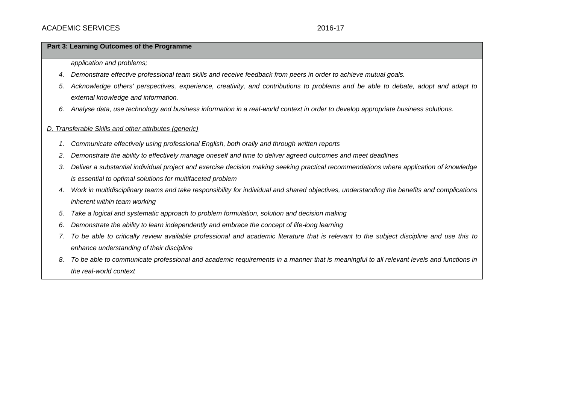### **Part 3: Learning Outcomes of the Programme**

*application and problems;*

- *4. Demonstrate effective professional team skills and receive feedback from peers in order to achieve mutual goals.*
- *5. Acknowledge others' perspectives, experience, creativity, and contributions to problems and be able to debate, adopt and adapt to external knowledge and information.*
- *6. Analyse data, use technology and business information in a real-world context in order to develop appropriate business solutions.*

## *D. Transferable Skills and other attributes (generic)*

- *1. Communicate effectively using professional English, both orally and through written reports*
- *2. Demonstrate the ability to effectively manage oneself and time to deliver agreed outcomes and meet deadlines*
- *3. Deliver a substantial individual project and exercise decision making seeking practical recommendations where application of knowledge is essential to optimal solutions for multifaceted problem*
- *4. Work in multidisciplinary teams and take responsibility for individual and shared objectives, understanding the benefits and complications inherent within team working*
- *5. Take a logical and systematic approach to problem formulation, solution and decision making*
- *6. Demonstrate the ability to learn independently and embrace the concept of life-long learning*
- *7. To be able to critically review available professional and academic literature that is relevant to the subject discipline and use this to enhance understanding of their discipline*
- *8. To be able to communicate professional and academic requirements in a manner that is meaningful to all relevant levels and functions in the real-world context*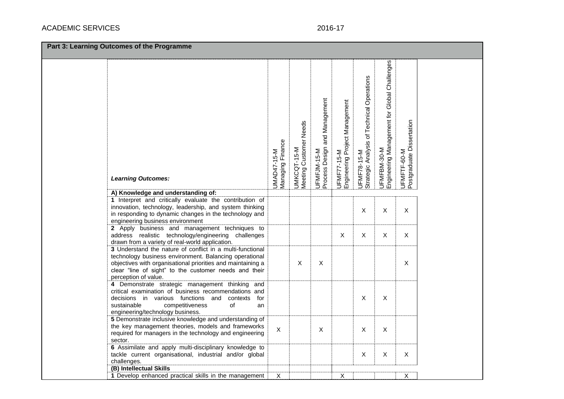# ACADEMIC SERVICES 2016-17

| Engineering Management for Global Challenges<br>Strategic Analysis of Technical Operations<br>UFMFJM-15-M<br>Process Design and Management<br>UFMF77-15-M<br>Engineering Project Management<br>Postgraduate Dissertation<br>Meeting Customer Needs<br>UMAD47-15-M<br>Managing Finance<br>UFMFBM-30-M<br>5-M<br>UFMFTF-60-M<br>UFMF78-15-M<br>UMKCQT-1<br><b>Learning Outcomes:</b><br>A) Knowledge and understanding of:<br>1 Interpret and critically evaluate the contribution of<br>innovation, technology, leadership, and system thinking<br>$\boldsymbol{\mathsf{X}}$<br>$\mathsf{X}$<br>X<br>in responding to dynamic changes in the technology and<br>engineering business environment<br>2 Apply business and management techniques to<br>$\boldsymbol{\mathsf{X}}$<br>X<br>X<br>X<br>address realistic technology/engineering challenges<br>drawn from a variety of real-world application.<br>3 Understand the nature of conflict in a multi-functional<br>technology business environment. Balancing operational<br>X<br>$\pmb{\times}$<br>objectives with organisational priorities and maintaining a<br>X<br>clear "line of sight" to the customer needs and their<br>perception of value.<br>4 Demonstrate strategic management thinking and<br>critical examination of business recommendations and<br>$\boldsymbol{\mathsf{X}}$<br>$\mathsf X$<br>decisions in various functions and<br>contexts<br>for<br>sustainable<br>competitiveness<br>of<br>an<br>engineering/technology business.<br>5 Demonstrate inclusive knowledge and understanding of<br>the key management theories, models and frameworks<br>$\boldsymbol{\mathsf{X}}$<br>$\mathsf X$<br>X<br>X<br>required for managers in the technology and engineering<br>sector.<br>6 Assimilate and apply multi-disciplinary knowledge to | Part 3: Learning Outcomes of the Programme |                                                         |  |  |  |  |                           |             |   |  |
|------------------------------------------------------------------------------------------------------------------------------------------------------------------------------------------------------------------------------------------------------------------------------------------------------------------------------------------------------------------------------------------------------------------------------------------------------------------------------------------------------------------------------------------------------------------------------------------------------------------------------------------------------------------------------------------------------------------------------------------------------------------------------------------------------------------------------------------------------------------------------------------------------------------------------------------------------------------------------------------------------------------------------------------------------------------------------------------------------------------------------------------------------------------------------------------------------------------------------------------------------------------------------------------------------------------------------------------------------------------------------------------------------------------------------------------------------------------------------------------------------------------------------------------------------------------------------------------------------------------------------------------------------------------------------------------------------------------------------------------------------------------------------------------------------------------|--------------------------------------------|---------------------------------------------------------|--|--|--|--|---------------------------|-------------|---|--|
|                                                                                                                                                                                                                                                                                                                                                                                                                                                                                                                                                                                                                                                                                                                                                                                                                                                                                                                                                                                                                                                                                                                                                                                                                                                                                                                                                                                                                                                                                                                                                                                                                                                                                                                                                                                                                  |                                            |                                                         |  |  |  |  |                           |             |   |  |
|                                                                                                                                                                                                                                                                                                                                                                                                                                                                                                                                                                                                                                                                                                                                                                                                                                                                                                                                                                                                                                                                                                                                                                                                                                                                                                                                                                                                                                                                                                                                                                                                                                                                                                                                                                                                                  |                                            |                                                         |  |  |  |  |                           |             |   |  |
|                                                                                                                                                                                                                                                                                                                                                                                                                                                                                                                                                                                                                                                                                                                                                                                                                                                                                                                                                                                                                                                                                                                                                                                                                                                                                                                                                                                                                                                                                                                                                                                                                                                                                                                                                                                                                  |                                            |                                                         |  |  |  |  |                           |             |   |  |
|                                                                                                                                                                                                                                                                                                                                                                                                                                                                                                                                                                                                                                                                                                                                                                                                                                                                                                                                                                                                                                                                                                                                                                                                                                                                                                                                                                                                                                                                                                                                                                                                                                                                                                                                                                                                                  |                                            |                                                         |  |  |  |  |                           |             |   |  |
|                                                                                                                                                                                                                                                                                                                                                                                                                                                                                                                                                                                                                                                                                                                                                                                                                                                                                                                                                                                                                                                                                                                                                                                                                                                                                                                                                                                                                                                                                                                                                                                                                                                                                                                                                                                                                  |                                            |                                                         |  |  |  |  |                           |             |   |  |
|                                                                                                                                                                                                                                                                                                                                                                                                                                                                                                                                                                                                                                                                                                                                                                                                                                                                                                                                                                                                                                                                                                                                                                                                                                                                                                                                                                                                                                                                                                                                                                                                                                                                                                                                                                                                                  |                                            |                                                         |  |  |  |  |                           |             |   |  |
|                                                                                                                                                                                                                                                                                                                                                                                                                                                                                                                                                                                                                                                                                                                                                                                                                                                                                                                                                                                                                                                                                                                                                                                                                                                                                                                                                                                                                                                                                                                                                                                                                                                                                                                                                                                                                  |                                            |                                                         |  |  |  |  |                           |             |   |  |
| challenges.<br>(B) Intellectual Skills                                                                                                                                                                                                                                                                                                                                                                                                                                                                                                                                                                                                                                                                                                                                                                                                                                                                                                                                                                                                                                                                                                                                                                                                                                                                                                                                                                                                                                                                                                                                                                                                                                                                                                                                                                           |                                            | tackle current organisational, industrial and/or global |  |  |  |  | $\boldsymbol{\mathsf{X}}$ | $\mathsf X$ | Χ |  |
| Χ<br>1 Develop enhanced practical skills in the management<br>Х<br>х                                                                                                                                                                                                                                                                                                                                                                                                                                                                                                                                                                                                                                                                                                                                                                                                                                                                                                                                                                                                                                                                                                                                                                                                                                                                                                                                                                                                                                                                                                                                                                                                                                                                                                                                             |                                            |                                                         |  |  |  |  |                           |             |   |  |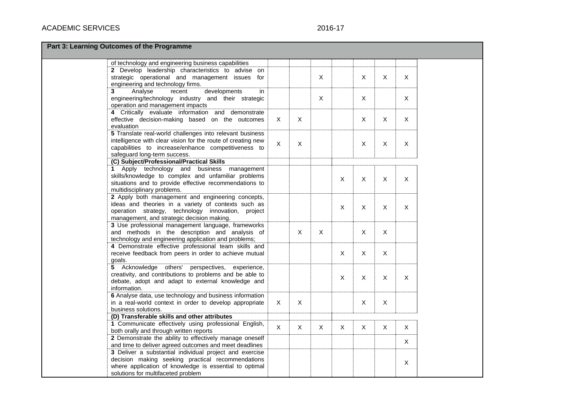# 2016-17

|  |  | <b>Part 3: Learning Outcomes of the Programme</b> |
|--|--|---------------------------------------------------|
|--|--|---------------------------------------------------|

| of technology and engineering business capabilities                                              |              |                           |              |              |                           |                |              |
|--------------------------------------------------------------------------------------------------|--------------|---------------------------|--------------|--------------|---------------------------|----------------|--------------|
| 2 Develop leadership characteristics to advise<br>on                                             |              |                           |              |              |                           |                |              |
| strategic operational and management issues<br>for                                               |              |                           | $\mathsf{X}$ |              | $\boldsymbol{\mathsf{X}}$ | $\mathsf{X}$   | $\mathsf{X}$ |
| engineering and technology firms.                                                                |              |                           |              |              |                           |                |              |
| developments<br>Analyse<br>recent<br>3<br>in                                                     |              |                           |              |              |                           |                |              |
| engineering/technology industry and their strategic                                              |              |                           | $\mathsf{X}$ |              | X                         |                | X            |
| operation and management impacts                                                                 |              |                           |              |              |                           |                |              |
| 4 Critically evaluate information and demonstrate                                                |              |                           |              |              |                           |                |              |
| effective decision-making based on the outcomes                                                  | $\mathsf{X}$ | $\pmb{\times}$            |              |              | X                         | $\pmb{\times}$ | X            |
| evaluation                                                                                       |              |                           |              |              |                           |                |              |
| 5 Translate real-world challenges into relevant business                                         |              |                           |              |              |                           |                |              |
| intelligence with clear vision for the route of creating new                                     | $\times$     | $\boldsymbol{\mathsf{X}}$ |              |              | $\sf X$                   | $\times$       | X            |
| capabilities to increase/enhance competitiveness to                                              |              |                           |              |              |                           |                |              |
| safeguard long-term success.                                                                     |              |                           |              |              |                           |                |              |
| (C) Subject/Professional/Practical Skills                                                        |              |                           |              |              |                           |                |              |
| 1 Apply technology and business management                                                       |              |                           |              |              |                           |                |              |
| skills/knowledge to complex and unfamiliar problems                                              |              |                           |              | $\mathsf X$  | X                         | $\times$       | X            |
| situations and to provide effective recommendations to                                           |              |                           |              |              |                           |                |              |
| multidisciplinary problems.                                                                      |              |                           |              |              |                           |                |              |
| 2 Apply both management and engineering concepts,                                                |              |                           |              |              |                           |                |              |
| ideas and theories in a variety of contexts such as                                              |              |                           |              | $\times$     | X                         | X              | X            |
| operation strategy, technology innovation, project<br>management, and strategic decision making. |              |                           |              |              |                           |                |              |
| 3 Use professional management language, frameworks                                               |              |                           |              |              |                           |                |              |
| and methods in the description and analysis of                                                   |              | $\mathsf X$               | $\mathsf X$  |              | $\mathsf X$               | $\mathsf{X}$   |              |
| technology and engineering application and problems;                                             |              |                           |              |              |                           |                |              |
| 4 Demonstrate effective professional team skills and                                             |              |                           |              |              |                           |                |              |
| receive feedback from peers in order to achieve mutual                                           |              |                           |              | $\times$     | $\times$                  | $\times$       |              |
| goals.                                                                                           |              |                           |              |              |                           |                |              |
| 5 Acknowledge<br>others' perspectives,<br>experience,                                            |              |                           |              |              |                           |                |              |
| creativity, and contributions to problems and be able to                                         |              |                           |              |              |                           |                |              |
| debate, adopt and adapt to external knowledge and                                                |              |                           |              | $\mathsf{X}$ | $\mathsf{X}$              | $\mathsf{X}$   | $\mathsf{X}$ |
| information.                                                                                     |              |                           |              |              |                           |                |              |
| 6 Analyse data, use technology and business information                                          |              |                           |              |              |                           |                |              |
| in a real-world context in order to develop appropriate                                          | $\mathsf{X}$ | $\mathsf{X}$              |              |              | $\mathsf X$               | $\mathsf{X}$   |              |
| business solutions.                                                                              |              |                           |              |              |                           |                |              |
| (D) Transferable skills and other attributes                                                     |              |                           |              |              |                           |                |              |
| 1 Communicate effectively using professional English,                                            | $\mathsf{X}$ | $\mathsf{X}$              | $\mathsf{X}$ | $\mathsf{X}$ | X                         | X              | $\mathsf{X}$ |
| both orally and through written reports                                                          |              |                           |              |              |                           |                |              |
| 2 Demonstrate the ability to effectively manage oneself                                          |              |                           |              |              |                           |                | X            |
| and time to deliver agreed outcomes and meet deadlines                                           |              |                           |              |              |                           |                |              |
| 3 Deliver a substantial individual project and exercise                                          |              |                           |              |              |                           |                |              |
| decision making seeking practical recommendations                                                |              |                           |              |              |                           |                | X            |
| where application of knowledge is essential to optimal                                           |              |                           |              |              |                           |                |              |
| solutions for multifaceted problem                                                               |              |                           |              |              |                           |                |              |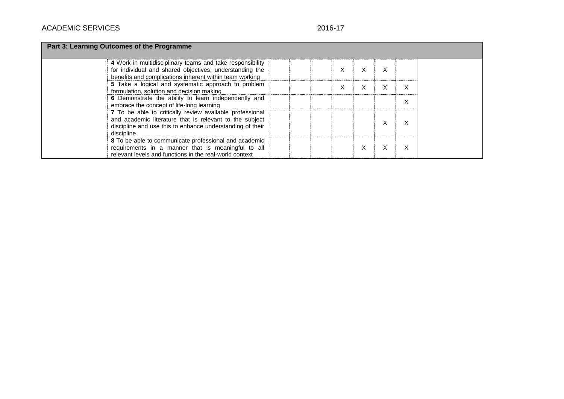# 2016-17

| Part 3: Learning Outcomes of the Programme                                                                                                                                                     |                  |  |  |  |  |  |  |  |
|------------------------------------------------------------------------------------------------------------------------------------------------------------------------------------------------|------------------|--|--|--|--|--|--|--|
| 4 Work in multidisciplinary teams and take responsibility<br>for individual and shared objectives, understanding the<br>benefits and complications inherent within team working                | X<br>X<br>ᄉ      |  |  |  |  |  |  |  |
| 5 Take a logical and systematic approach to problem<br>formulation, solution and decision making                                                                                               | X<br>X<br>X<br>v |  |  |  |  |  |  |  |
| 6 Demonstrate the ability to learn independently and<br>embrace the concept of life-long learning                                                                                              | X                |  |  |  |  |  |  |  |
| 7 To be able to critically review available professional<br>and academic literature that is relevant to the subject<br>discipline and use this to enhance understanding of their<br>discipline | Χ<br>X           |  |  |  |  |  |  |  |
| 8 To be able to communicate professional and academic<br>requirements in a manner that is meaningful to all<br>relevant levels and functions in the real-world context                         | X<br>X<br>X      |  |  |  |  |  |  |  |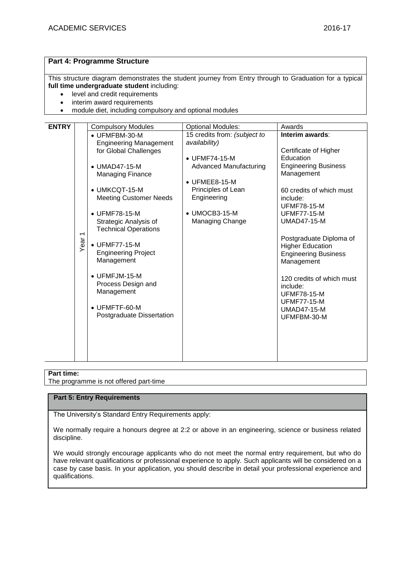# **Part 4: Programme Structure**

This structure diagram demonstrates the student journey from Entry through to Graduation for a typical **full time undergraduate student** including:

- level and credit requirements
- interim award requirements
- module diet, including compulsory and optional modules

| <b>ENTRY</b> |                | <b>Compulsory Modules</b>     | <b>Optional Modules:</b>      | Awards                            |
|--------------|----------------|-------------------------------|-------------------------------|-----------------------------------|
|              |                | • UFMFBM-30-M                 | 15 credits from: (subject to  | Interim awards:                   |
|              |                | <b>Engineering Management</b> | availability)                 |                                   |
|              |                | for Global Challenges         |                               | Certificate of Higher             |
|              |                |                               | $\bullet$ UFMF74-15-M         | Education                         |
|              |                | $\bullet$ UMAD47-15-M         | <b>Advanced Manufacturing</b> | <b>Engineering Business</b>       |
|              |                | Managing Finance              |                               | Management                        |
|              |                |                               | $\bullet$ UFMEE8-15-M         |                                   |
|              |                | • UMKCQT-15-M                 | Principles of Lean            | 60 credits of which must          |
|              |                | <b>Meeting Customer Needs</b> | Engineering                   | include:<br><b>UFMF78-15-M</b>    |
|              |                | $\bullet$ UFMF78-15-M         | • UMOCB3-15-M                 | <b>UFMF77-15-M</b>                |
|              |                | Strategic Analysis of         | Managing Change               | <b>UMAD47-15-M</b>                |
|              |                | <b>Technical Operations</b>   |                               |                                   |
|              | $\overline{ }$ |                               |                               | Postgraduate Diploma of           |
|              | Year           | • UFMF77-15-M                 |                               | <b>Higher Education</b>           |
|              |                | <b>Engineering Project</b>    |                               | <b>Engineering Business</b>       |
|              |                | Management                    |                               | Management                        |
|              |                |                               |                               |                                   |
|              |                | $\bullet$ UFMFJM-15-M         |                               | 120 credits of which must         |
|              |                | Process Design and            |                               | include:                          |
|              |                | Management                    |                               | <b>UFMF78-15-M</b>                |
|              |                | $\bullet$ UFMFTF-60-M         |                               | <b>UFMF77-15-M</b>                |
|              |                | Postgraduate Dissertation     |                               | <b>UMAD47-15-M</b><br>UFMFBM-30-M |
|              |                |                               |                               |                                   |
|              |                |                               |                               |                                   |
|              |                |                               |                               |                                   |
|              |                |                               |                               |                                   |
|              |                |                               |                               |                                   |

## **Part time:**

The programme is not offered part-time

# **Part 5: Entry Requirements**

The University's Standard Entry Requirements apply:

We normally require a honours degree at 2:2 or above in an engineering, science or business related discipline.

We would strongly encourage applicants who do not meet the normal entry requirement, but who do have relevant qualifications or professional experience to apply. Such applicants will be considered on a case by case basis. In your application, you should describe in detail your professional experience and qualifications.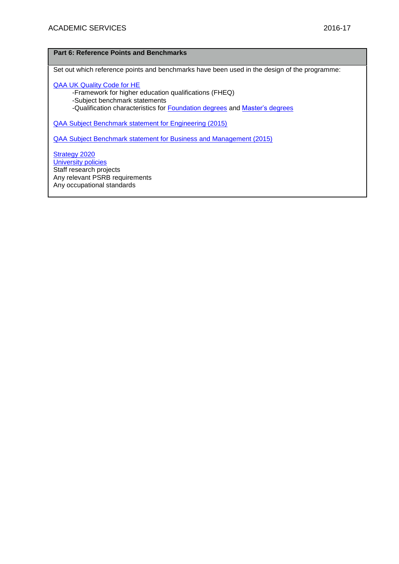## **Part 6: Reference Points and Benchmarks**

Set out which reference points and benchmarks have been used in the design of the programme:

[QAA UK Quality Code for HE](http://www.qaa.ac.uk/assuringstandardsandquality/quality-code/Pages/default.aspx) -Framework for higher education qualifications (FHEQ) -Subject benchmark statements -Qualification characteristics for [Foundation degrees](http://www.qaa.ac.uk/en/Publications/Documents/Foundation-degree-qualification-benchmark-2010.pdf) and [Master's degrees](http://www.qaa.ac.uk/en/Publications/Documents/Masters-Degree-Characteristics-2010.pdf)

[QAA Subject Benchmark statement for Engineering \(2015\)](http://www.qaa.ac.uk/en/Publications/Documents/SBS-engineering-15.pdf)

[QAA Subject Benchmark statement for Business and Management \(2015\)](http://www.qaa.ac.uk/en/Publications/Documents/SBS-business-management-15.pdf)

[Strategy 2020](http://www1.uwe.ac.uk/about/corporateinformation/strategy.aspx) **[University](http://www1.uwe.ac.uk/aboutus/policies) policies** Staff research projects Any relevant PSRB requirements Any occupational standards